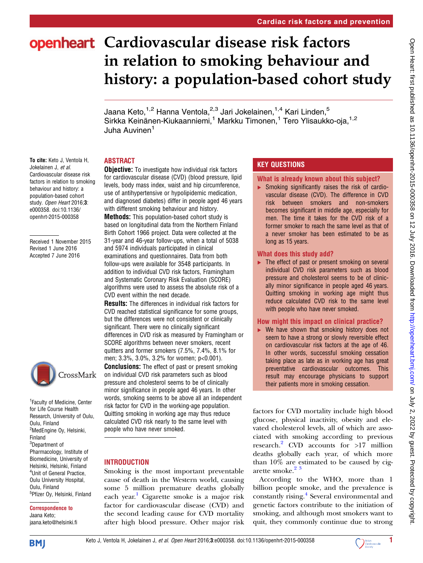# openheart Cardiovascular disease risk factors in relation to smoking behaviour and history: a population-based cohort study

Jaana Keto,<sup>1,2</sup> Hanna Ventola,<sup>2,3</sup> Jari Jokelainen,<sup>1,4</sup> Kari Linden,<sup>5</sup> Sirkka Keinänen-Kiukaanniemi,<sup>1</sup> Markku Timonen,<sup>1</sup> Tero Ylisaukko-oja,<sup>1,2</sup> Juha Auvinen<sup>1</sup>

# ABSTRACT

To cite: Keto J, Ventola H, Jokelainen J, et al. Cardiovascular disease risk factors in relation to smoking behaviour and history: a population-based cohort study. Open Heart 2016:3: e000358. doi:10.1136/ openhrt-2015-000358

Received 1 November 2015 Revised 1 June 2016 Accepted 7 June 2016



<sup>1</sup> Faculty of Medicine, Center for Life Course Health Research, University of Oulu, Oulu, Finland <sup>2</sup>MedEngine Oy, Helsinki, Finland 3 Department of Pharmacology, Institute of Biomedicine, University of Helsinki, Helsinki, Finland 4 Unit of General Practice, Oulu University Hospital, Oulu, Finland <sup>5</sup>Pfizer Oy, Helsinki, Finland

#### Correspondence to Jaana Keto; jaana.keto@helsinki.fi

**Obiective:** To investigate how individual risk factors for cardiovascular disease (CVD) (blood pressure, lipid

levels, body mass index, waist and hip circumference, use of antihypertensive or hypolipidemic medication, and diagnosed diabetes) differ in people aged 46 years with different smoking behaviour and history.

Methods: This population-based cohort study is based on longitudinal data from the Northern Finland Birth Cohort 1966 project. Data were collected at the 31-year and 46-year follow-ups, when a total of 5038 and 5974 individuals participated in clinical examinations and questionnaires. Data from both follow-ups were available for 3548 participants. In addition to individual CVD risk factors, Framingham and Systematic Coronary Risk Evaluation (SCORE) algorithms were used to assess the absolute risk of a CVD event within the next decade.

Results: The differences in individual risk factors for CVD reached statistical significance for some groups, but the differences were not consistent or clinically significant. There were no clinically significant differences in CVD risk as measured by Framingham or SCORE algorithms between never smokers, recent quitters and former smokers (7.5%, 7.4%, 8.1% for men; 3.3%, 3.0%, 3.2% for women; p<0.001).

**Conclusions:** The effect of past or present smoking on individual CVD risk parameters such as blood pressure and cholesterol seems to be of clinically minor significance in people aged 46 years. In other words, smoking seems to be above all an independent risk factor for CVD in the working-age population. Quitting smoking in working age may thus reduce calculated CVD risk nearly to the same level with people who have never smoked.

# **INTRODUCTION**

Smoking is the most important preventable cause of death in the Western world, causing some 5 million premature deaths globally each year.<sup>1</sup> Cigarette smoke is a major risk factor for cardiovascular disease (CVD) and the second leading cause for CVD mortality after high blood pressure. Other major risk

# KEY QUESTIONS

#### What is already known about this subject?

▸ Smoking significantly raises the risk of cardiovascular disease (CVD). The difference in CVD risk between smokers and non-smokers becomes significant in middle age, especially for men. The time it takes for the CVD risk of a former smoker to reach the same level as that of a never smoker has been estimated to be as long as 15 years.

# What does this study add?

 $\blacktriangleright$  The effect of past or present smoking on several individual CVD risk parameters such as blood pressure and cholesterol seems to be of clinically minor significance in people aged 46 years. Quitting smoking in working age might thus reduce calculated CVD risk to the same level with people who have never smoked.

# How might this impact on clinical practice?

▸ We have shown that smoking history does not seem to have a strong or slowly reversible effect on cardiovascular risk factors at the age of 46. In other words, successful smoking cessation taking place as late as in working age has great preventative cardiovascular outcomes. This result may encourage physicians to support their patients more in smoking cessation.

factors for CVD mortality include high blood glucose, physical inactivity, obesity and elevated cholesterol levels, all of which are associated with smoking according to previous research.<sup>[2](#page-7-0)</sup> CVD accounts for  $>17$  million deaths globally each year, of which more than 10% are estimated to be caused by cigarette smoke.<sup>23</sup>

According to the WHO, more than 1 billion people smoke, and the prevalence is constantly rising.<sup>[4](#page-7-0)</sup> Several environmental and genetic factors contribute to the initiation of smoking, and although most smokers want to quit, they commonly continue due to strong

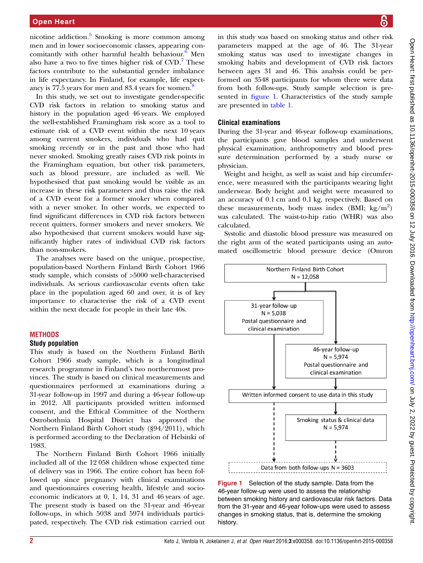#### <span id="page-1-0"></span>Open Heart

nicotine addiction.<sup>[5](#page-7-0)</sup> Smoking is more common among men and in lower socioeconomic classes, appearing concomitantly with other harmful health behaviour.<sup>6</sup> Men also have a two to five times higher risk of  $CVD$ . These factors contribute to the substantial gender imbalance in life expectancy. In Finland, for example, life expect-ancy is 77.5 years for men and [8](#page-7-0)3.4 years for women.<sup>8</sup>

In this study, we set out to investigate gender-specific CVD risk factors in relation to smoking status and history in the population aged 46 years. We employed the well-established Framingham risk score as a tool to estimate risk of a CVD event within the next 10 years among current smokers, individuals who had quit smoking recently or in the past and those who had never smoked. Smoking greatly raises CVD risk points in the Framingham equation, but other risk parameters, such as blood pressure, are included as well. We hypothesised that past smoking would be visible as an increase in these risk parameters and thus raise the risk of a CVD event for a former smoker when compared with a never smoker. In other words, we expected to find significant differences in CVD risk factors between recent quitters, former smokers and never smokers. We also hypothesised that current smokers would have significantly higher rates of individual CVD risk factors than non-smokers.

The analyses were based on the unique, prospective, population-based Northern Finland Birth Cohort 1966 study sample, which consists of >5000 well-characterised individuals. As serious cardiovascular events often take place in the population aged 60 and over, it is of key importance to characterise the risk of a CVD event within the next decade for people in their late 40s.

#### **METHODS**

#### Study population

This study is based on the Northern Finland Birth Cohort 1966 study sample, which is a longitudinal research programme in Finland's two northernmost provinces. The study is based on clinical measurements and questionnaires performed at examinations during a 31-year follow-up in 1997 and during a 46-year follow-up in 2012. All participants provided written informed consent, and the Ethical Committee of the Northern Ostrobothnia Hospital District has approved the Northern Finland Birth Cohort study (§94/2011), which is performed according to the Declaration of Helsinki of 1983.

The Northern Finland Birth Cohort 1966 initially included all of the 12 058 children whose expected time of delivery was in 1966. The entire cohort has been followed up since pregnancy with clinical examinations and questionnaires covering health, lifestyle and socioeconomic indicators at 0, 1, 14, 31 and 46 years of age. The present study is based on the 31-year and 46-year follow-ups, in which 5038 and 5974 individuals participated, respectively. The CVD risk estimation carried out

in this study was based on smoking status and other risk parameters mapped at the age of 46. The 31-year smoking status was used to investigate changes in smoking habits and development of CVD risk factors between ages 31 and 46. This analysis could be performed on 3548 participants for whom there were data from both follow-ups. Study sample selection is presented in figure 1. Characteristics of the study sample are presented in [table 1](#page-2-0).

#### Clinical examinations

During the 31-year and 46-year follow-up examinations, the participants gave blood samples and underwent physical examination, anthropometry and blood pressure determination performed by a study nurse or physician.

Weight and height, as well as waist and hip circumference, were measured with the participants wearing light underwear. Body height and weight were measured to an accuracy of 0.1 cm and 0.1 kg, respectively. Based on these measurements, body mass index (BMI;  $\text{kg/m}^2$ ) was calculated. The waist-to-hip ratio (WHR) was also calculated.

Systolic and diastolic blood pressure was measured on the right arm of the seated participants using an automated oscillometric blood pressure device (Omron



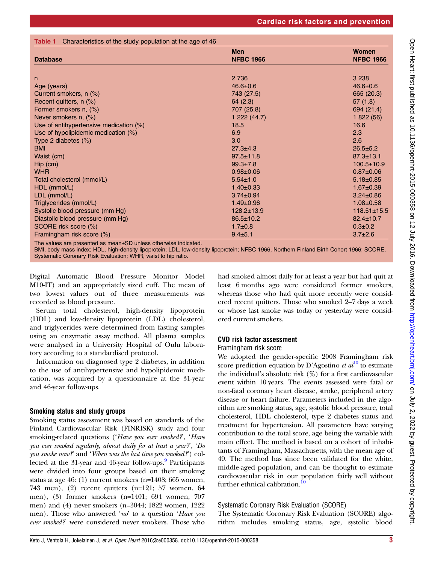<span id="page-2-0"></span>Table 1 Characteristics of the study population at the age of 46

| <b>Database</b>                        | <b>Men</b><br><b>NFBC 1966</b> | Women<br><b>NFBC 1966</b> |  |
|----------------------------------------|--------------------------------|---------------------------|--|
|                                        |                                |                           |  |
| n                                      | 2 7 3 6                        | 3 2 3 8                   |  |
| Age (years)                            | $46.6 \pm 0.6$                 | $46.6 \pm 0.6$            |  |
| Current smokers, n (%)                 | 743 (27.5)                     | 665 (20.3)                |  |
| Recent quitters, n (%)                 | 64(2.3)                        | 57(1.8)                   |  |
| Former smokers n, (%)                  | 707 (25.8)                     | 694 (21.4)                |  |
| Never smokers n, (%)                   | 1222(44.7)                     | 1822(56)                  |  |
| Use of antihypertensive medication (%) | 18.5                           | 16.6                      |  |
| Use of hypolipidemic medication (%)    | 6.9                            | 2.3                       |  |
| Type 2 diabetes $(\%)$                 | 3.0                            | 2.6                       |  |
| <b>BMI</b>                             | $27.3 + 4.3$                   | $26.5 \pm 5.2$            |  |
| Waist (cm)                             | $97.5 \pm 11.8$                | $87.3 \pm 13.1$           |  |
| Hip (cm)                               | $99.3 \pm 7.8$                 | $100.5 \pm 10.9$          |  |
| <b>WHR</b>                             | $0.98 \pm 0.06$                | $0.87 \pm 0.06$           |  |
| Total cholesterol (mmol/L)             | $5.54 \pm 1.0$                 | $5.18 \pm 0.85$           |  |
| HDL (mmol/L)                           | $1.40 \pm 0.33$                | $1.67 \pm 0.39$           |  |
| LDL (mmol/L)                           | $3.74 \pm 0.94$                | $3.24 \pm 0.86$           |  |
| Triglycerides (mmol/L)                 | $1.49 \pm 0.96$                | $1.08 \pm 0.58$           |  |
| Systolic blood pressure (mm Hg)        | $128.2 \pm 13.9$               | $118.51 \pm 15.5$         |  |
| Diastolic blood pressure (mm Hg)       | $86.5 \pm 10.2$                | $82.4 \pm 10.7$           |  |
| SCORE risk score (%)                   | $1.7 \pm 0.8$                  | $0.3 \pm 0.2$             |  |
| Framingham risk score (%)              | $9.4 \pm 5.1$                  | $3.7 \pm 2.6$             |  |

The values are presented as mean±SD unless otherwise indicated.

BMI, body mass index; HDL, high-density lipoprotein; LDL, low-density lipoprotein; NFBC 1966, Northern Finland Birth Cohort 1966; SCORE, Systematic Coronary Risk Evaluation; WHR, waist to hip ratio.

Digital Automatic Blood Pressure Monitor Model M10-IT) and an appropriately sized cuff. The mean of two lowest values out of three measurements was recorded as blood pressure.

Serum total cholesterol, high-density lipoprotein (HDL) and low-density lipoprotein (LDL) cholesterol, and triglycerides were determined from fasting samples using an enzymatic assay method. All plasma samples were analysed in a University Hospital of Oulu laboratory according to a standardised protocol.

Information on diagnosed type 2 diabetes, in addition to the use of antihypertensive and hypolipidemic medication, was acquired by a questionnaire at the 31-year and 46-year follow-ups.

#### Smoking status and study groups

Smoking status assessment was based on standards of the Finland Cardiovascular Risk (FINRISK) study and four smoking-related questions ('Have you ever smoked?', 'Have you ever smoked regularly, almost daily for at least a year?', 'Do you smoke now?' and 'When was the last time you smoked?') collected at the 31-year and 46-year follow-ups.<sup>9</sup> Participants were divided into four groups based on their smoking status at age 46: (1) current smokers (n=1408; 665 women, 743 men), (2) recent quitters (n=121; 57 women, 64 men), (3) former smokers (n=1401; 694 women, 707 men) and (4) never smokers (n=3044; 1822 women, 1222 men). Those who answered 'no' to a question 'Have you ever smoked?' were considered never smokers. Those who

had smoked almost daily for at least a year but had quit at least 6 months ago were considered former smokers, whereas those who had quit more recently were considered recent quitters. Those who smoked 2–7 days a week or whose last smoke was today or yesterday were considered current smokers.

# CVD risk factor assessment

#### Framingham risk score

We adopted the gender-specific 2008 Framingham risk score prediction equation by D'Agostino *et al*<sup>[10](#page-7-0)</sup> to estimate the individual's absolute risk  $(\%)$  for a first cardiovascular event within 10 years. The events assessed were fatal or non-fatal coronary heart disease, stroke, peripheral artery disease or heart failure. Parameters included in the algorithm are smoking status, age, systolic blood pressure, total cholesterol, HDL cholesterol, type 2 diabetes status and treatment for hypertension. All parameters have varying contribution to the total score, age being the variable with main effect. The method is based on a cohort of inhabitants of Framingham, Massachusetts, with the mean age of 49. The method has since been validated for the white, middle-aged population, and can be thought to estimate cardiovascular risk in our population fairly well without further ethnical calibration.

# Systematic Coronary Risk Evaluation (SCORE)

The Systematic Coronary Risk Evaluation (SCORE) algorithm includes smoking status, age, systolic blood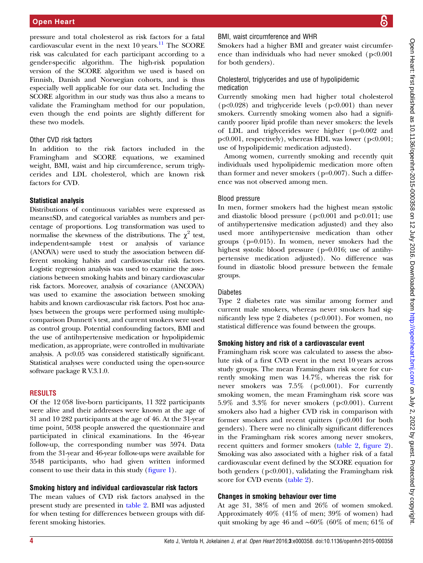pressure and total cholesterol as risk factors for a fatal cardiovascular event in the next  $10 \text{ years.}$ <sup>11</sup> The SCORE risk was calculated for each participant according to a gender-specific algorithm. The high-risk population version of the SCORE algorithm we used is based on Finnish, Danish and Norwegian cohorts, and is thus especially well applicable for our data set. Including the SCORE algorithm in our study was thus also a means to validate the Framingham method for our population, even though the end points are slightly different for these two models.

#### Other CVD risk factors

In addition to the risk factors included in the Framingham and SCORE equations, we examined weight, BMI, waist and hip circumference, serum triglycerides and LDL cholesterol, which are known risk factors for CVD.

# Statistical analysis

Distributions of continuous variables were expressed as means±SD, and categorical variables as numbers and percentage of proportions. Log transformation was used to normalise the skewness of the distributions. The  $\chi^2$  test, independent-sample t-test or analysis of variance (ANOVA) were used to study the association between different smoking habits and cardiovascular risk factors. Logistic regression analysis was used to examine the associations between smoking habits and binary cardiovascular risk factors. Moreover, analysis of covariance (ANCOVA) was used to examine the association between smoking habits and known cardiovascular risk factors. Post hoc analyses between the groups were performed using multiplecomparison Dunnett's test, and current smokers were used as control group. Potential confounding factors, BMI and the use of antihypertensive medication or hypolipidemic medication, as appropriate, were controlled in multivariate analysis. A p<0.05 was considered statistically significant. Statistical analyses were conducted using the open-source software package R V.3.1.0.

# **RESULTS**

Of the 12 058 live-born participants, 11 322 participants were alive and their addresses were known at the age of 31 and 10 282 participants at the age of 46. At the 31-year time point, 5038 people answered the questionnaire and participated in clinical examinations. In the 46-year follow-up, the corresponding number was 5974. Data from the 31-year and 46-year follow-ups were available for 3548 participants, who had given written informed consent to use their data in this study (fi[gure 1\)](#page-1-0).

# Smoking history and individual cardiovascular risk factors

The mean values of CVD risk factors analysed in the present study are presented in [table 2.](#page-4-0) BMI was adjusted for when testing for differences between groups with different smoking histories.

# BMI, waist circumference and WHR

Smokers had a higher BMI and greater waist circumference than individuals who had never smoked (p<0.001) for both genders).

# Cholesterol, triglycerides and use of hypolipidemic medication

Currently smoking men had higher total cholesterol (p<0.028) and triglyceride levels (p<0.001) than never smokers. Currently smoking women also had a significantly poorer lipid profile than never smokers: the levels of LDL and triglycerides were higher (p=0.002 and p<0.001, respectively), whereas HDL was lower (p<0.001; use of hypolipidemic medication adjusted).

Among women, currently smoking and recently quit individuals used hypolipidemic medication more often than former and never smokers ( $p=0.007$ ). Such a difference was not observed among men.

# Blood pressure

In men, former smokers had the highest mean systolic and diastolic blood pressure ( $p<0.001$  and  $p<0.011$ ; use of antihypertensive medication adjusted) and they also used more antihypertensive medication than other groups (p=0.015). In women, never smokers had the highest systolic blood pressure (p=0.016; use of antihypertensive medication adjusted). No difference was found in diastolic blood pressure between the female groups.

# Diabetes

Type 2 diabetes rate was similar among former and current male smokers, whereas never smokers had significantly less type 2 diabetes ( $p<0.001$ ). For women, no statistical difference was found between the groups.

# Smoking history and risk of a cardiovascular event

Framingham risk score was calculated to assess the absolute risk of a first CVD event in the next 10 years across study groups. The mean Framingham risk score for currently smoking men was 14.7%, whereas the risk for never smokers was 7.5% (p<0.001). For currently smoking women, the mean Framingham risk score was 5.9% and 3.3% for never smokers ( $p<0.001$ ). Current smokers also had a higher CVD risk in comparison with former smokers and recent quitters (p<0.001 for both genders). There were no clinically significant differences in the Framingham risk scores among never smokers, recent quitters and former smokers [\(table 2,](#page-4-0) fi[gure 2\)](#page-5-0). Smoking was also associated with a higher risk of a fatal cardiovascular event defined by the SCORE equation for both genders (p<0.001), validating the Framingham risk score for CVD events [\(table 2\)](#page-4-0).

# Changes in smoking behaviour over time

At age 31, 38% of men and 26% of women smoked. Approximately 40% (41% of men; 39% of women) had quit smoking by age 46 and ∼60% (60% of men; 61% of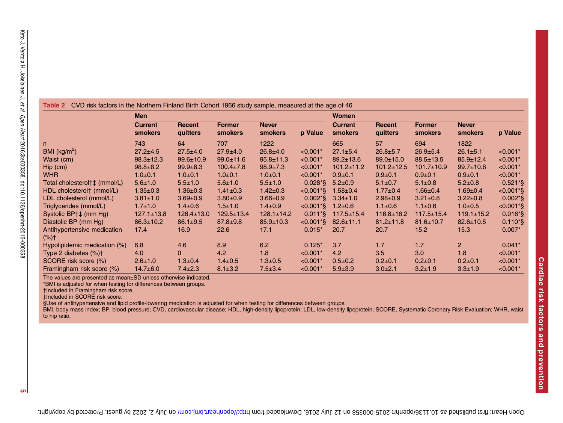<span id="page-4-0"></span>

|                                        | <b>Men</b>                       |                    |                                 |                                | Women                    |                                  |                    |                                 |                         |              |
|----------------------------------------|----------------------------------|--------------------|---------------------------------|--------------------------------|--------------------------|----------------------------------|--------------------|---------------------------------|-------------------------|--------------|
|                                        | <b>Current</b><br><b>smokers</b> | Recent<br>quitters | <b>Former</b><br><b>smokers</b> | <b>Never</b><br><b>smokers</b> | p Value                  | <b>Current</b><br><b>smokers</b> | Recent<br>quitters | <b>Former</b><br><b>smokers</b> | <b>Never</b><br>smokers | p Value      |
| n.                                     | 743                              | 64                 | 707                             | 1222                           |                          | 665                              | 57                 | 694                             | 1822                    |              |
| BMI $(kg/m^2)$                         | $27.2 + 4.5$                     | $27.5 + 4.0$       | $27.9 \pm 4.0$                  | $26.8 + 4.0$                   | $< 0.001*$               | $27.1 \pm 5.4$                   | $26.8 + 5.7$       | $26.9 + 5.4$                    | $26.1 \pm 5.1$          | $< 0.001*$   |
| Waist (cm)                             | $98.3 \pm 12.3$                  | $99.6 \pm 10.9$    | $99.0 \pm 11.6$                 | $95.8 \pm 11.3$                | $< 0.001*$               | $89.2 \pm 13.6$                  | $89.0 \pm 15.0$    | $88.5 \pm 13.5$                 | $85.9 \pm 12.4$         | $< 0.001*$   |
| $Hip$ (cm)                             | $98.8 \pm 8.2$                   | $99.9 + 8.3$       | $100.4 \pm 7.8$                 | $98.9 \pm 7.3$                 | $< 0.001*$               | $101.2 \pm 11.2$                 | $101.2 \pm 12.5$   | $101.7 \pm 10.9$                | $99.7 \pm 10.8$         | $< 0.001*$   |
| <b>WHR</b>                             | $1.0 + 0.1$                      | $1.0 + 0.1$        | $1.0 + 0.1$                     | $1.0+0.1$                      | $< 0.001*$               | $0.9 + 0.1$                      | $0.9 + 0.1$        | $0.9 + 0.1$                     | $0.9 + 0.1$             | $< 0.001*$   |
| Total cholesterol†‡ (mmol/L)           | $5.6 \pm 1.0$                    | $5.5 \pm 1.0$      | $5.6 \pm 1.0$                   | $5.5 \pm 1.0$                  | $0.028*$                 | $5.2 \pm 0.9$                    | $5.1 \pm 0.7$      | $5.1 \pm 0.8$                   | $5.2 \pm 0.8$           | $0.521*$     |
| HDL cholesterol <sup>+</sup> (mmol/L)  | $1.35 \pm 0.3$                   | $1.36 \pm 0.3$     | $1.41 \pm 0.3$                  | $1.42 \pm 0.3$                 | $< 0.001$ <sup>*</sup> § | $1.58 \pm 0.4$                   | $1.77 \pm 0.4$     | $1.66 \pm 0.4$                  | $1.69 \pm 0.4$          | $< 0.001*$ § |
| LDL cholesterol (mmol/L)               | $3.81 \pm 1.0$                   | $3.69 \pm 0.9$     | $3.80 \pm 0.9$                  | $3.66 \pm 0.9$                 | $0.002*$                 | $3.34 \pm 1.0$                   | $2.98 \pm 0.9$     | $3.21 \pm 0.8$                  | $3.22 \pm 0.8$          | $0.002*$     |
| Triglycerides (mmol/L)                 | $1.7 \pm 1.0$                    | $1.4 \pm 0.6$      | $1.5 \pm 1.0$                   | $1.4 \pm 0.9$                  | $< 0.001*$               | $1.2 \pm 0.6$                    | $1.1 \pm 0.6$      | $1.1 \pm 0.6$                   | $1.0 \pm 0.5$           | <0.001*§     |
| Systolic BP†‡ (mm Hg)                  | $127.1 \pm 13.8$                 | $126.4 \pm 13.0$   | $129.5 \pm 13.4$                | $128.1 \pm 14.2$               | $0.011*$ §               | $117.5 \pm 15.4$                 | $116.8 \pm 16.2$   | $117.5 \pm 15.4$                | $119.1 \pm 15.2$        | $0.016*$     |
| Diastolic BP (mm Hg)                   | $86.3 \pm 10.2$                  | $86.1 \pm 9.5$     | $87.8 + 9.8$                    | $85.9 \pm 10.3$                | $<0.001*$                | $82.6 \pm 11.1$                  | $81.2 \pm 11.8$    | $81.6 \pm 10.7$                 | $82.6 \pm 10.5$         | $0.110*$     |
| Antihypertensive medication<br>$(*)$ † | 17.4                             | 16.9               | 22.6                            | 17.1                           | $0.015*$                 | 20.7                             | 20.7               | 15.2                            | 15.3                    | $0.007*$     |
| Hypolipidemic medication (%)           | 6.8                              | 4.6                | 8.9                             | 6.2                            | $0.125*$                 | 3.7                              | 1.7                | 1.7                             | $\overline{2}$          | $0.041*$     |
| Type 2 diabetes $(\%)\uparrow$         | 4.0                              | $\mathbf{0}$       | 4.2                             | 1.8                            | $< 0.001*$               | 4.2                              | 3.5                | 3.0                             | 1.8                     | $< 0.001*$   |
| SCORE risk score (%)                   | $2.6 \pm 1.0$                    | $1.3 \pm 0.4$      | $1.4 \pm 0.5$                   | $1.3 \pm 0.5$                  | $< 0.001*$               | $0.5 \pm 0.2$                    | $0.2 \pm 0.1$      | $0.2 \pm 0.1$                   | $0.2 \pm 0.1$           | $< 0.001*$   |
| Framingham risk score (%)              | $14.7 \pm 6.0$                   | $7.4 \pm 2.3$      | $8.1 \pm 3.2$                   | $7.5 \pm 3.4$                  | $< 0.001*$               | $5.9 \pm 3.9$                    | $3.0 \pm 2.1$      | $3.2 \pm 1.9$                   | $3.3 \pm 1.9$           | $< 0.001*$   |

The values are presented as mean±SD unless otherwise indicated.

\*BMI is adjusted for when testing for differences between groups.

†Included in Framingham risk score.

‡Included in SCORE risk score.

§Use of antihypertensive and lipid profile-lowering medication is adjusted for when testing for differences between groups.

BMI, body mass index; BP, blood pressure; CVD, cardiovascular disease; HDL, high-density lipoprotein; LDL, low-density lipoprotein; SCORE, Systematic Coronary Risk Evaluation; WHR, waist to hip ratio.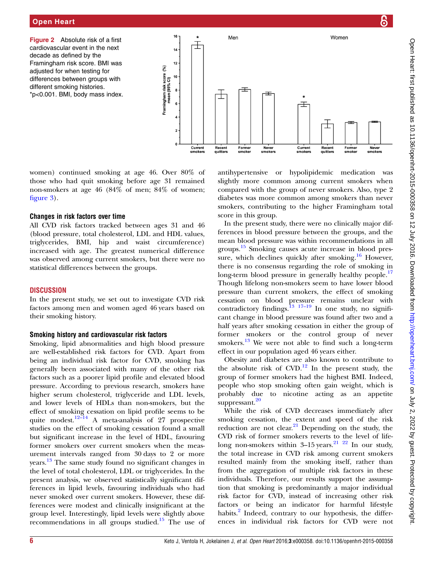<span id="page-5-0"></span>Figure 2 Absolute risk of a first cardiovascular event in the next decade as defined by the Framingham risk score. BMI was adjusted for when testing for differences between groups with different smoking histories. \*p<0.001. BMI, body mass index.



women) continued smoking at age 46. Over 80% of those who had quit smoking before age 31 remained non-smokers at age 46 (84% of men; 84% of women; fi[gure 3](#page-6-0)).

#### Changes in risk factors over time

All CVD risk factors tracked between ages 31 and 46 (blood pressure, total cholesterol, LDL and HDL values, triglycerides, BMI, hip and waist circumference) increased with age. The greatest numerical difference was observed among current smokers, but there were no statistical differences between the groups.

# **DISCUSSION**

In the present study, we set out to investigate CVD risk factors among men and women aged 46 years based on their smoking history.

# Smoking history and cardiovascular risk factors

Smoking, lipid abnormalities and high blood pressure are well-established risk factors for CVD. Apart from being an individual risk factor for CVD, smoking has generally been associated with many of the other risk factors such as a poorer lipid profile and elevated blood pressure. According to previous research, smokers have higher serum cholesterol, triglyceride and LDL levels, and lower levels of HDLs than non-smokers, but the effect of smoking cessation on lipid profile seems to be quite modest.<sup>12–[14](#page-7-0)</sup> A meta-analysis of 27 prospective studies on the effect of smoking cessation found a small but significant increase in the level of HDL, favouring former smokers over current smokers when the measurement intervals ranged from 30 days to 2 or more years.<sup>[13](#page-7-0)</sup> The same study found no significant changes in the level of total cholesterol, LDL or triglycerides. In the present analysis, we observed statistically significant differences in lipid levels, favouring individuals who had never smoked over current smokers. However, these differences were modest and clinically insignificant at the group level. Interestingly, lipid levels were slightly above recommendations in all groups studied.<sup>[15](#page-7-0)</sup> The use of antihypertensive or hypolipidemic medication was slightly more common among current smokers when compared with the group of never smokers. Also, type 2 diabetes was more common among smokers than never smokers, contributing to the higher Framingham total score in this group.

In the present study, there were no clinically major differences in blood pressure between the groups, and the mean blood pressure was within recommendations in all groups.[15](#page-7-0) Smoking causes acute increase in blood pres-sure, which declines quickly after smoking.<sup>[16](#page-7-0)</sup> However, there is no consensus regarding the role of smoking in long-term blood pressure in generally healthy people.<sup>[17](#page-7-0)</sup> Though lifelong non-smokers seem to have lower blood pressure than current smokers, the effect of smoking cessation on blood pressure remains unclear with contradictory findings.<sup>13</sup> <sup>17–19</sup> In one study, no significant change in blood pressure was found after two and a half years after smoking cessation in either the group of former smokers or the control group of never smokers. $\frac{13}{13}$  $\frac{13}{13}$  $\frac{13}{13}$  We were not able to find such a long-term effect in our population aged 46 years either.

Obesity and diabetes are also known to contribute to the absolute risk of  $CVD$ .<sup>[12](#page-7-0)</sup> In the present study, the group of former smokers had the highest BMI. Indeed, people who stop smoking often gain weight, which is probably due to nicotine acting as an appetite suppressant.<sup>[20](#page-8-0)</sup>

While the risk of CVD decreases immediately after smoking cessation, the extent and speed of the risk reduction are not clear.<sup>[21](#page-8-0)</sup> Depending on the study, the CVD risk of former smokers reverts to the level of lifelong non-smokers within  $3-15$  years.<sup>21</sup> <sup>22</sup> In our study, the total increase in CVD risk among current smokers resulted mainly from the smoking itself, rather than from the aggregation of multiple risk factors in these individuals. Therefore, our results support the assumption that smoking is predominantly a major individual risk factor for CVD, instead of increasing other risk factors or being an indicator for harmful lifestyle habits.<sup>2</sup> Indeed, contrary to our hypothesis, the differences in individual risk factors for CVD were not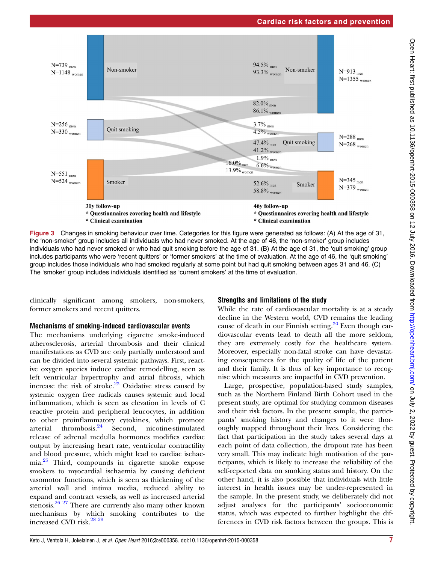<span id="page-6-0"></span>

Figure 3 Changes in smoking behaviour over time. Categories for this figure were generated as follows: (A) At the age of 31, the 'non-smoker' group includes all individuals who had never smoked. At the age of 46, the 'non-smoker' group includes individuals who had never smoked or who had quit smoking before the age of 31. (B) At the age of 31, the 'quit smoking' group includes participants who were 'recent quitters' or 'former smokers' at the time of evaluation. At the age of 46, the 'quit smoking' group includes those individuals who had smoked regularly at some point but had quit smoking between ages 31 and 46. (C) The 'smoker' group includes individuals identified as 'current smokers' at the time of evaluation.

clinically significant among smokers, non-smokers, former smokers and recent quitters.

#### Mechanisms of smoking-induced cardiovascular events

The mechanisms underlying cigarette smoke-induced atherosclerosis, arterial thrombosis and their clinical manifestations as CVD are only partially understood and can be divided into several systemic pathways. First, reactive oxygen species induce cardiac remodelling, seen as left ventricular hypertrophy and atrial fibrosis, which increase the risk of stroke.[23](#page-8-0) Oxidative stress caused by systemic oxygen free radicals causes systemic and local inflammation, which is seen as elevation in levels of C reactive protein and peripheral leucocytes, in addition to other proinflammatory cytokines, which promote<br>arterial thrombosis.<sup>24</sup> Second, nicotine-stimulated  $\arct{1}$  thrombosis.<sup>[24](#page-8-0)</sup> Second, nicotine-stimulated release of adrenal medulla hormones modifies cardiac output by increasing heart rate, ventricular contractility and blood pressure, which might lead to cardiac ischaemia.[25](#page-8-0) Third, compounds in cigarette smoke expose smokers to myocardial ischaemia by causing deficient vasomotor functions, which is seen as thickening of the arterial wall and intima media, reduced ability to expand and contract vessels, as well as increased arterial stenosis.<sup>26 27</sup> There are currently also many other known mechanisms by which smoking contributes to the increased CVD risk.<sup>28</sup> <sup>29</sup>

#### Strengths and limitations of the study

While the rate of cardiovascular mortality is at a steady decline in the Western world, CVD remains the leading cause of death in our Finnish setting. $30$  Even though cardiovascular events lead to death all the more seldom, they are extremely costly for the healthcare system. Moreover, especially non-fatal stroke can have devastating consequences for the quality of life of the patient and their family. It is thus of key importance to recognise which measures are impactful in CVD prevention.

Large, prospective, population-based study samples, such as the Northern Finland Birth Cohort used in the present study, are optimal for studying common diseases and their risk factors. In the present sample, the participants' smoking history and changes to it were thoroughly mapped throughout their lives. Considering the fact that participation in the study takes several days at each point of data collection, the dropout rate has been very small. This may indicate high motivation of the participants, which is likely to increase the reliability of the self-reported data on smoking status and history. On the other hand, it is also possible that individuals with little interest in health issues may be under-represented in the sample. In the present study, we deliberately did not adjust analyses for the participants' socioeconomic status, which was expected to further highlight the differences in CVD risk factors between the groups. This is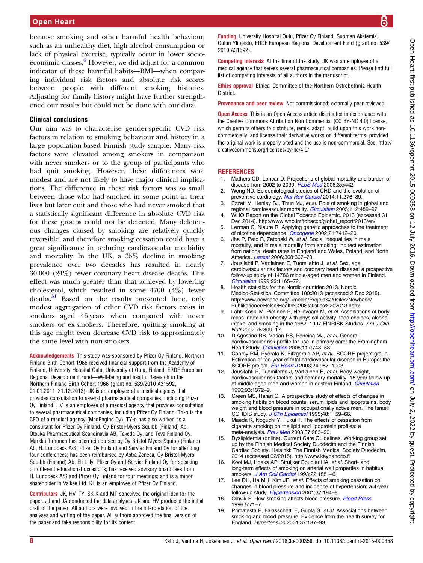<span id="page-7-0"></span>because smoking and other harmful health behaviour, such as an unhealthy diet, high alcohol consumption or lack of physical exercise, typically occur in lower socioeconomic classes. $6$  However, we did adjust for a common indicator of these harmful habits—BMI—when comparing individual risk factors and absolute risk scores between people with different smoking histories. Adjusting for family history might have further strengthened our results but could not be done with our data.

#### Clinical conclusions

Our aim was to characterise gender-specific CVD risk factors in relation to smoking behaviour and history in a large population-based Finnish study sample. Many risk factors were elevated among smokers in comparison with never smokers or to the group of participants who had quit smoking. However, these differences were modest and are not likely to have major clinical implications. The difference in these risk factors was so small between those who had smoked in some point in their lives but later quit and those who had never smoked that a statistically significant difference in absolute CVD risk for these groups could not be detected. Many deleterious changes caused by smoking are relatively quickly reversible, and therefore smoking cessation could have a great significance in reducing cardiovascular morbidity and mortality. In the UK, a 35% decline in smoking prevalence over two decades has resulted in nearly 30 000 (24%) fewer coronary heart disease deaths. This effect was much greater than that achieved by lowering cholesterol, which resulted in some 4700 (4%) fewer deaths.<sup>[31](#page-8-0)</sup> Based on the results presented here, only modest aggregation of other CVD risk factors exists in smokers aged 46 years when compared with never smokers or ex-smokers. Therefore, quitting smoking at this age might even decrease CVD risk to approximately the same level with non-smokers.

Acknowledgements This study was sponsored by Pfizer Oy Finland. Northern Finland Birth Cohort 1966 received financial support from the Academy of Finland, University Hospital Oulu, University of Oulu, Finland, ERDF European Regional Development Fund—Well-being and health: Research in the Northern Finland Birth Cohort 1966 (grant no. 539/2010 A31592, 01.01.2011–31.12.2013). JK is an employee of a medical agency that provides consultation to several pharmaceutical companies, including Pfizer Oy Finland. HV is an employee of a medical agency that provides consultation to several pharmaceutical companies, including Pfizer Oy Finland. TY-o is the CEO of a medical agency (MedEngine Oy). TY-o has also worked as a consultant for Pfizer Oy Finland, Oy Bristol-Myers Squibb (Finland) Ab, Otsuka Pharmaceutical Scandinavia AB, Takeda Oy, and Teva Finland Oy. Markku Timonen has been reimbursed by Oy Bristol-Myers Squibb (Finland) Ab, H. Lundbeck A/S, Pfizer Oy Finland and Servier Finland Oy for attending four conferences; has been reimbursed by Astra Zeneca, Oy Bristol-Myers Squibb (Finland) Ab, Eli Lilly, Pfizer Oy and Servier Finland Oy for speaking on different educational occasions; has received advisory board fees from H. Lundbeck A/S and Pfizer Oy Finland for four meetings; and is a minor shareholder in Valkee Ltd. KL is an employee of Pfizer Oy Finland.

Contributors JK, HV, TY, SK-K and MT conceived the original idea for the paper. JJ and JA conducted the data analyses. JK and HV produced the initial draft of the paper. All authors were involved in the interpretation of the analyses and writing of the paper. All authors approved the final version of the paper and take responsibility for its content.

Funding University Hospital Oulu, Pfizer Oy Finland, Suomen Akatemia, Oulun Yliopisto, ERDF European Regional Development Fund (grant no. 539/ 2010 A31592).

Competing interests At the time of the study, JK was an employee of a medical agency that serves several pharmaceutical companies. Please find full list of competing interests of all authors in the manuscript.

Ethics approval Ethical Committee of the Northern Ostrobothnia Health District.

Provenance and peer review Not commissioned; externally peer reviewed.

**Open Access** This is an Open Access article distributed in accordance with the Creative Commons Attribution Non Commercial (CC BY-NC 4.0) license, which permits others to distribute, remix, adapt, build upon this work noncommercially, and license their derivative works on different terms, provided the original work is properly cited and the use is non-commercial. See: [http://](http://creativecommons.org/licenses/by-nc/4.0/) [creativecommons.org/licenses/by-nc/4.0/](http://creativecommons.org/licenses/by-nc/4.0/)

#### **REFERENCES**

- 1. Mathers CD, Loncar D. Projections of global mortality and burden of disease from 2002 to 2030. [PLoS Med](http://dx.doi.org/10.1371/journal.pmed.0030442) 2006;3:e442.
- 2. Wong ND. Epidemiological studies of CHD and the evolution of preventive cardiology. [Nat Rev Cardiol](http://dx.doi.org/10.1038/nrcardio.2014.26) 2014;11:276-89.
- 3. Ezzati M, Henley SJ, Thun MJ, et al. Role of smoking in global and regional cardiovascular mortality. [Circulation](http://dx.doi.org/10.1161/CIRCULATIONAHA.104.521708) 2005;112:489-97.
- 4. WHO Report on the Global Tobacco Epidemic. 2013 (accessed 31 Dec 2014). [http://www.who.int/tobacco/global\\_report/2013/en/](http://www.who.int/tobacco/global_report/2013/en/)
- 5. Lerman C, Niaura R. Applying genetic approaches to the treatment of nicotine dependence. [Oncogene](http://dx.doi.org/10.1038/sj.onc.1205801) 2002;21:7412–20.
- 6. Jha P, Peto R, Zatonski W, et al. Social inequalities in male mortality, and in male mortality from smoking: indirect estimation from national death rates in England and Wales, Poland, and North America. [Lancet](http://dx.doi.org/10.1016/S0140-6736(06)68975-7) 2006;368:367–70.
- 7. Jousilahti P, Vartiainen E, Tuomilehto J, et al. Sex, age, cardiovascular risk factors and coronary heart disease: a prospective follow-up study of 14786 middle-aged men and women in Finland. [Circulation](http://dx.doi.org/10.1161/01.CIR.99.9.1165) 1999;99:1165–72.
- 8. Health statistics for the Nordic countries 2013. Nordic Medico-Statistical Committee 100:2013 (accessed 2 Dec 2015). [http://www.nowbase.org/~/media/Projekt%20sites/Nowbase/](http://www.nowbase.org/~/media/Projekt%20sites/Nowbase/Publikationer/Helse/Health%20Statistics%202013.ashx) [Publikationer/Helse/Health%20Statistics%202013.ashx](http://www.nowbase.org/~/media/Projekt%20sites/Nowbase/Publikationer/Helse/Health%20Statistics%202013.ashx)
- 9. Lahti-Koski M, Pietinen P, Heliövaara M, et al. Associations of body mass index and obesity with physical activity, food choices, alcohol intake, and smoking in the 1982–1997 FINRISK Studies. Am J Clin Nutr 2002;75:809–17.
- 10. D'Agostino RB, Vasan RS, Pencina MJ, et al. General cardiovascular risk profile for use in primary care: the Framingham Heart Study. [Circulation](http://dx.doi.org/10.1161/CIRCULATIONAHA.107.699579) 2008;117:743-53.
- 11. Conroy RM, Pyörälä K, Fitzgerald AP, et al., SCORE project group. Estimation of ten-year of fatal cardiovascular disease in Europe: the SCORE project. [Eur Heart J](http://dx.doi.org/10.1016/S0195-668X(03)00114-3) 2003;24:987–1003.
- 12. Jousilahti P, Tuomilehto J, Vartiainen E, et al. Body weight, cardiovascular risk factors and coronary mortality: 15-year follow-up of middle-aged men and women in eastern Finland. [Circulation](http://dx.doi.org/10.1161/01.CIR.93.7.1372) 1996;93:1372–9.
- 13. Green MS, Harari G. A prospective study of effects of changes in smoking habits on blood counts, serum lipids and lipoproteins, body weight and blood pressure in occupationally active men. The Israeli CORDIS study. [J Clin Epidemiol](http://dx.doi.org/10.1016/0895-4356(95)00005-O) 1995;48:1159–66.
- 14. Maeda K, Noguchi Y, Fukui T. The effects of cessation from cigarette smoking on the lipid and lipoprotein profiles: a meta-analysis. [Prev Med](http://dx.doi.org/10.1016/S0091-7435(03)00110-5) 2003;37:283-90.
- Dyslipidemia (online). Current Care Guidelines. Working group set up by the Finnish Medical Society Duodecim and the Finnish Cardiac Society. Helsinki: The Finnish Medical Society Duodecim, 2014 (accessed 02/2015).<http://www.kaypahoito.fi>
- 16. Kool MJ, Hoeks AP, Struijker Boudier HA, et al. Short- and long-term effects of smoking on arterial wall properties in habitual smokers. [J Am Coll Cardiol](http://dx.doi.org/10.1016/0735-1097(93)90773-T) 1993;22:1881-6.
- 17. Lee DH, Ha MH, Kim JR, et al. Effects of smoking cessation on changes in blood pressure and incidence of hypertension: a 4-year follow-up study. [Hypertension](http://dx.doi.org/10.1161/01.HYP.37.2.194) 2001;37:194-8.
- 18. Omvik P. How smoking affects blood pressure. [Blood Press](http://dx.doi.org/10.3109/08037059609062111) 1996;5:71–7.
- 19. Primatesta P, Falasschetti E, Gupta S, et al. Associations between smoking and blood pressure. Evidence from the health survey for England. Hypertension 2001;37:187–93.